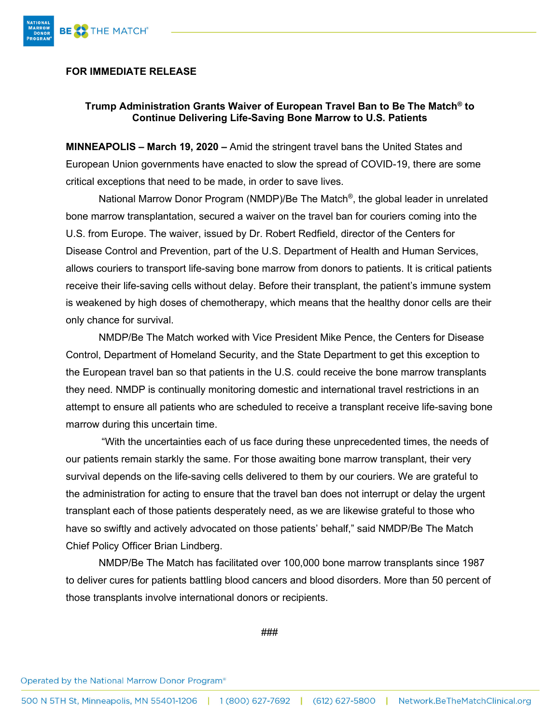

## **FOR IMMEDIATE RELEASE**

## **Trump Administration Grants Waiver of European Travel Ban to Be The Match® to Continue Delivering Life-Saving Bone Marrow to U.S. Patients**

**MINNEAPOLIS – March 19, 2020 –** Amid the stringent travel bans the United States and European Union governments have enacted to slow the spread of COVID-19, there are some critical exceptions that need to be made, in order to save lives.

National Marrow Donor Program (NMDP)/Be The Match®, the global leader in unrelated bone marrow transplantation, secured a waiver on the travel ban for couriers coming into the U.S. from Europe. The waiver, issued by Dr. Robert Redfield, director of the Centers for Disease Control and Prevention, part of the U.S. Department of Health and Human Services, allows couriers to transport life-saving bone marrow from donors to patients. It is critical patients receive their life-saving cells without delay. Before their transplant, the patient's immune system is weakened by high doses of chemotherapy, which means that the healthy donor cells are their only chance for survival.

NMDP/Be The Match worked with Vice President Mike Pence, the Centers for Disease Control, Department of Homeland Security, and the State Department to get this exception to the European travel ban so that patients in the U.S. could receive the bone marrow transplants they need. NMDP is continually monitoring domestic and international travel restrictions in an attempt to ensure all patients who are scheduled to receive a transplant receive life-saving bone marrow during this uncertain time.

"With the uncertainties each of us face during these unprecedented times, the needs of our patients remain starkly the same. For those awaiting bone marrow transplant, their very survival depends on the life-saving cells delivered to them by our couriers. We are grateful to the administration for acting to ensure that the travel ban does not interrupt or delay the urgent transplant each of those patients desperately need, as we are likewise grateful to those who have so swiftly and actively advocated on those patients' behalf," said NMDP/Be The Match Chief Policy Officer Brian Lindberg.

NMDP/Be The Match has facilitated over 100,000 bone marrow transplants since 1987 to deliver cures for patients battling blood cancers and blood disorders. More than 50 percent of those transplants involve international donors or recipients.

###